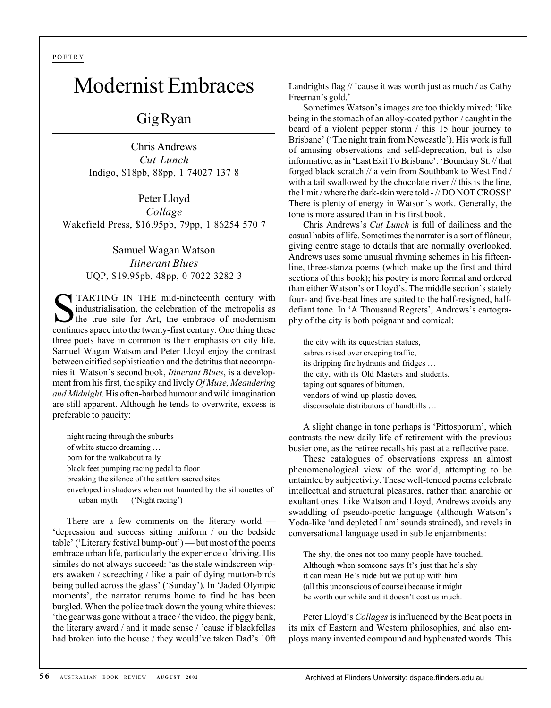POETRY

## Modernist Embraces

## Gig Ryan

Chris Andrews *Cut Lunch* Indigo, \$18pb, 88pp, 1 74027 137 8

Peter Lloyd *Collage* Wakefield Press, \$16.95pb, 79pp, 1 86254 570 7

> Samuel Wagan Watson *Itinerant Blues* UQP, \$19.95pb, 48pp, 0 7022 3282 3

TARTING IN THE mid-nineteenth century with industrialisation, the celebration of the metropolis as the true site for Art, the embrace of modernism continues apace into the twenty-first century. One thing these three poets have in common is their emphasis on city life. Samuel Wagan Watson and Peter Lloyd enjoy the contrast between citified sophistication and the detritus that accompanies it. Watson's second book, *Itinerant Blues*, is a development from his first, the spiky and lively *Of Muse, Meandering and Midnight*. His often-barbed humour and wild imagination are still apparent. Although he tends to overwrite, excess is preferable to paucity:

night racing through the suburbs of white stucco dreaming … born for the walkabout rally black feet pumping racing pedal to floor breaking the silence of the settlers sacred sites enveloped in shadows when not haunted by the silhouettes of urban myth ('Night racing')

There are a few comments on the literary world — 'depression and success sitting uniform / on the bedside table' ('Literary festival bump-out') — but most of the poems embrace urban life, particularly the experience of driving. His similes do not always succeed: 'as the stale windscreen wipers awaken / screeching / like a pair of dying mutton-birds being pulled across the glass' ('Sunday'). In 'Jaded Olympic moments', the narrator returns home to find he has been burgled. When the police track down the young white thieves: 'the gear was gone without a trace / the video, the piggy bank, the literary award / and it made sense / 'cause if blackfellas had broken into the house / they would've taken Dad's 10ft

Landrights flag // 'cause it was worth just as much / as Cathy Freeman's gold.'

Sometimes Watson's images are too thickly mixed: 'like being in the stomach of an alloy-coated python / caught in the beard of a violent pepper storm / this 15 hour journey to Brisbane' ('The night train from Newcastle'). His work is full of amusing observations and self-deprecation, but is also informative, as in 'Last Exit To Brisbane': 'Boundary St. // that forged black scratch // a vein from Southbank to West End / with a tail swallowed by the chocolate river // this is the line. the limit / where the dark-skin were told - // DO NOT CROSS!' There is plenty of energy in Watson's work. Generally, the tone is more assured than in his first book.

Chris Andrews's *Cut Lunch* is full of dailiness and the casual habits of life. Sometimes the narrator is a sort of flâneur, giving centre stage to details that are normally overlooked. Andrews uses some unusual rhyming schemes in his fifteenline, three-stanza poems (which make up the first and third sections of this book); his poetry is more formal and ordered than either Watson's or Lloyd's. The middle section's stately four- and five-beat lines are suited to the half-resigned, halfdefiant tone. In 'A Thousand Regrets', Andrews's cartography of the city is both poignant and comical:

the city with its equestrian statues, sabres raised over creeping traffic, its dripping fire hydrants and fridges … the city, with its Old Masters and students, taping out squares of bitumen, vendors of wind-up plastic doves, disconsolate distributors of handbills …

A slight change in tone perhaps is 'Pittosporum', which contrasts the new daily life of retirement with the previous busier one, as the retiree recalls his past at a reflective pace.

These catalogues of observations express an almost phenomenological view of the world, attempting to be untainted by subjectivity. These well-tended poems celebrate intellectual and structural pleasures, rather than anarchic or exultant ones. Like Watson and Lloyd, Andrews avoids any swaddling of pseudo-poetic language (although Watson's Yoda-like 'and depleted I am' sounds strained), and revels in conversational language used in subtle enjambments:

The shy, the ones not too many people have touched. Although when someone says It's just that he's shy it can mean He's rude but we put up with him (all this unconscious of course) because it might be worth our while and it doesn't cost us much.

Peter Lloyd's *Collages* is influenced by the Beat poets in its mix of Eastern and Western philosophies, and also employs many invented compound and hyphenated words. This